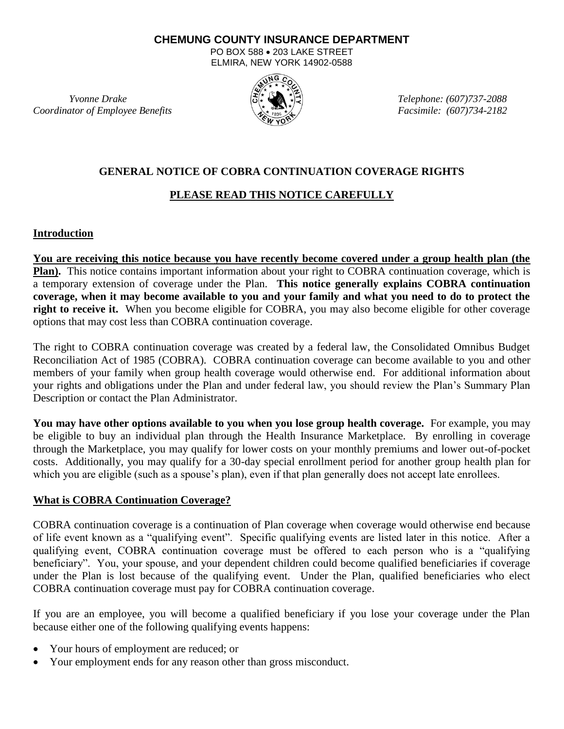#### **CHEMUNG COUNTY INSURANCE DEPARTMENT**

PO BOX 588 . 203 LAKE STREET ELMIRA, NEW YORK 14902-0588

*Coordinator of Employee Benefits Facsimile: (607)734-2182*



 *Yvonne Drake Telephone: (607)737-2088*

### **GENERAL NOTICE OF COBRA CONTINUATION COVERAGE RIGHTS**

# **PLEASE READ THIS NOTICE CAREFULLY**

# **Introduction**

**You are receiving this notice because you have recently become covered under a group health plan (the Plan).** This notice contains important information about your right to COBRA continuation coverage, which is a temporary extension of coverage under the Plan. **This notice generally explains COBRA continuation coverage, when it may become available to you and your family and what you need to do to protect the right to receive it.** When you become eligible for COBRA, you may also become eligible for other coverage options that may cost less than COBRA continuation coverage.

The right to COBRA continuation coverage was created by a federal law, the Consolidated Omnibus Budget Reconciliation Act of 1985 (COBRA). COBRA continuation coverage can become available to you and other members of your family when group health coverage would otherwise end. For additional information about your rights and obligations under the Plan and under federal law, you should review the Plan's Summary Plan Description or contact the Plan Administrator.

**You may have other options available to you when you lose group health coverage.** For example, you may be eligible to buy an individual plan through the Health Insurance Marketplace. By enrolling in coverage through the Marketplace, you may qualify for lower costs on your monthly premiums and lower out-of-pocket costs. Additionally, you may qualify for a 30-day special enrollment period for another group health plan for which you are eligible (such as a spouse's plan), even if that plan generally does not accept late enrollees.

#### **What is COBRA Continuation Coverage?**

COBRA continuation coverage is a continuation of Plan coverage when coverage would otherwise end because of life event known as a "qualifying event". Specific qualifying events are listed later in this notice. After a qualifying event, COBRA continuation coverage must be offered to each person who is a "qualifying beneficiary". You, your spouse, and your dependent children could become qualified beneficiaries if coverage under the Plan is lost because of the qualifying event. Under the Plan, qualified beneficiaries who elect COBRA continuation coverage must pay for COBRA continuation coverage.

If you are an employee, you will become a qualified beneficiary if you lose your coverage under the Plan because either one of the following qualifying events happens:

- Your hours of employment are reduced; or
- Your employment ends for any reason other than gross misconduct.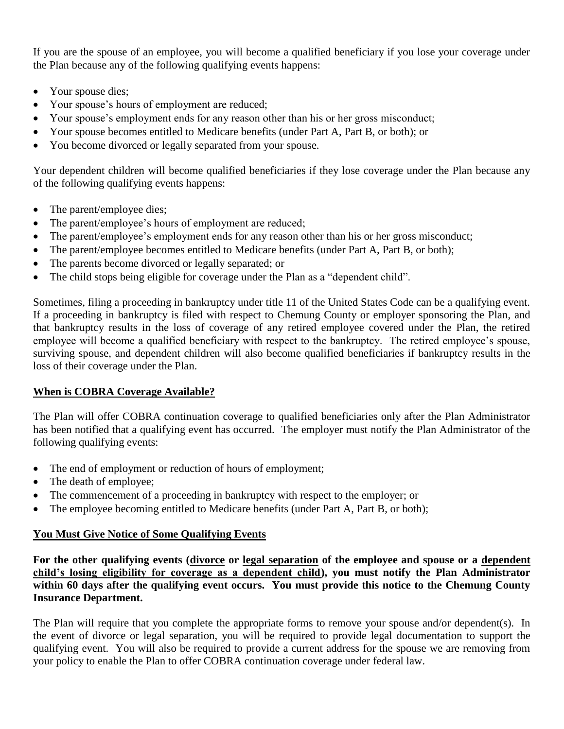If you are the spouse of an employee, you will become a qualified beneficiary if you lose your coverage under the Plan because any of the following qualifying events happens:

- Your spouse dies;
- Your spouse's hours of employment are reduced;
- Your spouse's employment ends for any reason other than his or her gross misconduct;
- Your spouse becomes entitled to Medicare benefits (under Part A, Part B, or both); or
- You become divorced or legally separated from your spouse.

Your dependent children will become qualified beneficiaries if they lose coverage under the Plan because any of the following qualifying events happens:

- The parent/employee dies;
- The parent/employee's hours of employment are reduced;
- The parent/employee's employment ends for any reason other than his or her gross misconduct;
- The parent/employee becomes entitled to Medicare benefits (under Part A, Part B, or both);
- The parents become divorced or legally separated; or
- The child stops being eligible for coverage under the Plan as a "dependent child".

Sometimes, filing a proceeding in bankruptcy under title 11 of the United States Code can be a qualifying event. If a proceeding in bankruptcy is filed with respect to Chemung County or employer sponsoring the Plan, and that bankruptcy results in the loss of coverage of any retired employee covered under the Plan, the retired employee will become a qualified beneficiary with respect to the bankruptcy. The retired employee's spouse, surviving spouse, and dependent children will also become qualified beneficiaries if bankruptcy results in the loss of their coverage under the Plan.

# **When is COBRA Coverage Available?**

The Plan will offer COBRA continuation coverage to qualified beneficiaries only after the Plan Administrator has been notified that a qualifying event has occurred. The employer must notify the Plan Administrator of the following qualifying events:

- The end of employment or reduction of hours of employment;
- The death of employee;
- The commencement of a proceeding in bankruptcy with respect to the employer; or
- The employee becoming entitled to Medicare benefits (under Part A, Part B, or both);

# **You Must Give Notice of Some Qualifying Events**

**For the other qualifying events (divorce or legal separation of the employee and spouse or a dependent child's losing eligibility for coverage as a dependent child), you must notify the Plan Administrator within 60 days after the qualifying event occurs. You must provide this notice to the Chemung County Insurance Department.**

The Plan will require that you complete the appropriate forms to remove your spouse and/or dependent(s). In the event of divorce or legal separation, you will be required to provide legal documentation to support the qualifying event. You will also be required to provide a current address for the spouse we are removing from your policy to enable the Plan to offer COBRA continuation coverage under federal law.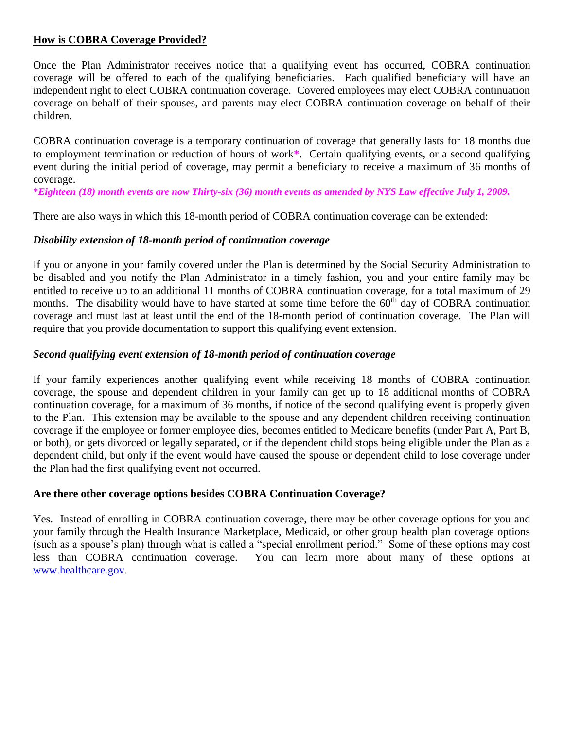### **How is COBRA Coverage Provided?**

Once the Plan Administrator receives notice that a qualifying event has occurred, COBRA continuation coverage will be offered to each of the qualifying beneficiaries. Each qualified beneficiary will have an independent right to elect COBRA continuation coverage. Covered employees may elect COBRA continuation coverage on behalf of their spouses, and parents may elect COBRA continuation coverage on behalf of their children.

COBRA continuation coverage is a temporary continuation of coverage that generally lasts for 18 months due to employment termination or reduction of hours of work**\***. Certain qualifying events, or a second qualifying event during the initial period of coverage, may permit a beneficiary to receive a maximum of 36 months of coverage.

**\****Eighteen (18) month events are now Thirty-six (36) month events as amended by NYS Law effective July 1, 2009.*

There are also ways in which this 18-month period of COBRA continuation coverage can be extended:

#### *Disability extension of 18-month period of continuation coverage*

If you or anyone in your family covered under the Plan is determined by the Social Security Administration to be disabled and you notify the Plan Administrator in a timely fashion, you and your entire family may be entitled to receive up to an additional 11 months of COBRA continuation coverage, for a total maximum of 29 months. The disability would have to have started at some time before the 60<sup>th</sup> day of COBRA continuation coverage and must last at least until the end of the 18-month period of continuation coverage. The Plan will require that you provide documentation to support this qualifying event extension.

# *Second qualifying event extension of 18-month period of continuation coverage*

If your family experiences another qualifying event while receiving 18 months of COBRA continuation coverage, the spouse and dependent children in your family can get up to 18 additional months of COBRA continuation coverage, for a maximum of 36 months, if notice of the second qualifying event is properly given to the Plan. This extension may be available to the spouse and any dependent children receiving continuation coverage if the employee or former employee dies, becomes entitled to Medicare benefits (under Part A, Part B, or both), or gets divorced or legally separated, or if the dependent child stops being eligible under the Plan as a dependent child, but only if the event would have caused the spouse or dependent child to lose coverage under the Plan had the first qualifying event not occurred.

#### **Are there other coverage options besides COBRA Continuation Coverage?**

Yes. Instead of enrolling in COBRA continuation coverage, there may be other coverage options for you and your family through the Health Insurance Marketplace, Medicaid, or other group health plan coverage options (such as a spouse's plan) through what is called a "special enrollment period." Some of these options may cost less than COBRA continuation coverage. You can learn more about many of these options at [www.healthcare.gov.](http://www.healthcare.gov/)